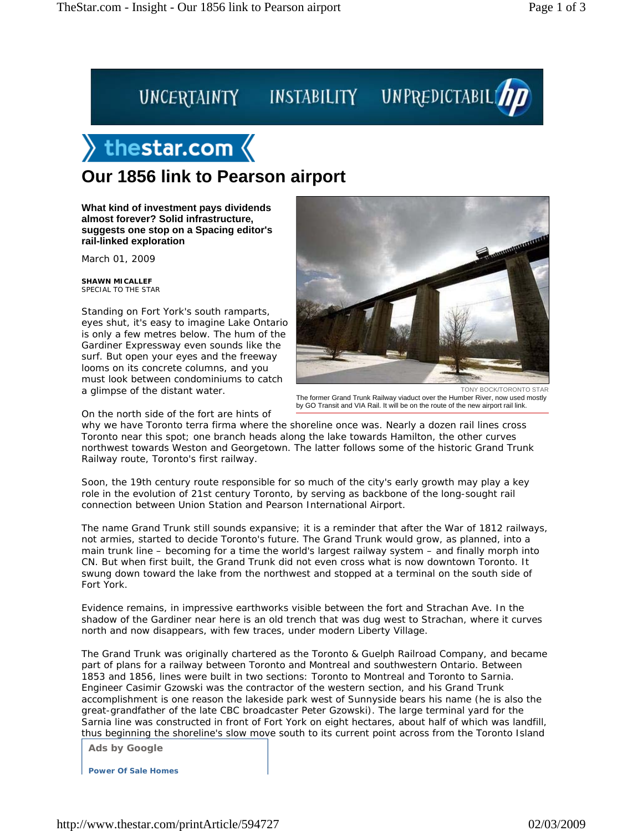## UNCERTAINTY INSTABILITY UNPREDICTABIL

## $\rangle$  thestar.com  $\langle$

## **Our 1856 link to Pearson airport**

**What kind of investment pays dividends almost forever? Solid infrastructure, suggests one stop on a Spacing editor's rail-linked exploration**

March 01, 2009

**SHAWN MICALLEF** SPECIAL TO THE STAR

Standing on Fort York's south ramparts, eyes shut, it's easy to imagine Lake Ontario is only a few metres below. The hum of the Gardiner Expressway even sounds like the surf. But open your eyes and the freeway looms on its concrete columns, and you must look between condominiums to catch a glimpse of the distant water.

On the north side of the fort are hints of



TONY BOCK/TORONTO STAR The former Grand Trunk Railway viaduct over the Humber River, now used mostly by GO Transit and VIA Rail. It will be on the route of the new airport rail link.

why we have Toronto terra firma where the shoreline once was. Nearly a dozen rail lines cross Toronto near this spot; one branch heads along the lake towards Hamilton, the other curves northwest towards Weston and Georgetown. The latter follows some of the historic Grand Trunk Railway route, Toronto's first railway.

Soon, the 19th century route responsible for so much of the city's early growth may play a key role in the evolution of 21st century Toronto, by serving as backbone of the long-sought rail connection between Union Station and Pearson International Airport.

The name Grand Trunk still sounds expansive; it is a reminder that after the War of 1812 railways, not armies, started to decide Toronto's future. The Grand Trunk would grow, as planned, into a main trunk line – becoming for a time the world's largest railway system – and finally morph into CN. But when first built, the Grand Trunk did not even cross what is now downtown Toronto. It swung down toward the lake from the northwest and stopped at a terminal on the south side of Fort York.

Evidence remains, in impressive earthworks visible between the fort and Strachan Ave. In the shadow of the Gardiner near here is an old trench that was dug west to Strachan, where it curves north and now disappears, with few traces, under modern Liberty Village.

The Grand Trunk was originally chartered as the Toronto & Guelph Railroad Company, and became part of plans for a railway between Toronto and Montreal and southwestern Ontario. Between 1853 and 1856, lines were built in two sections: Toronto to Montreal and Toronto to Sarnia. Engineer Casimir Gzowski was the contractor of the western section, and his Grand Trunk accomplishment is one reason the lakeside park west of Sunnyside bears his name (he is also the great-grandfather of the late CBC broadcaster Peter Gzowski). The large terminal yard for the Sarnia line was constructed in front of Fort York on eight hectares, about half of which was landfill, thus beginning the shoreline's slow move south to its current point across from the Toronto Island

**Ads by Google**

**Power Of Sale Homes**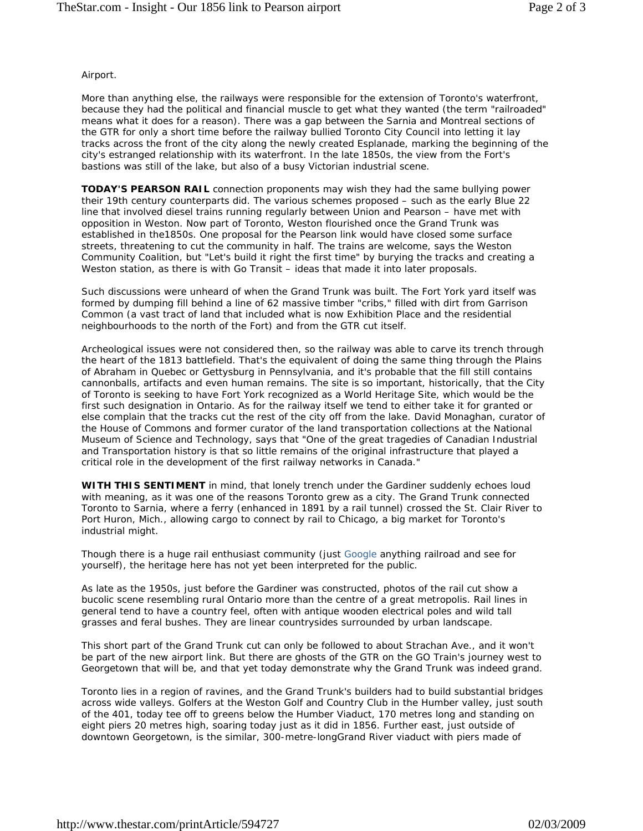## Airport.

More than anything else, the railways were responsible for the extension of Toronto's waterfront, because they had the political and financial muscle to get what they wanted (the term "railroaded" means what it does for a reason). There was a gap between the Sarnia and Montreal sections of the GTR for only a short time before the railway bullied Toronto City Council into letting it lay tracks across the front of the city along the newly created Esplanade, marking the beginning of the city's estranged relationship with its waterfront. In the late 1850s, the view from the Fort's bastions was still of the lake, but also of a busy Victorian industrial scene.

**TODAY'S PEARSON RAIL** connection proponents may wish they had the same bullying power their 19th century counterparts did. The various schemes proposed – such as the early Blue 22 line that involved diesel trains running regularly between Union and Pearson – have met with opposition in Weston. Now part of Toronto, Weston flourished once the Grand Trunk was established in the1850s. One proposal for the Pearson link would have closed some surface streets, threatening to cut the community in half. The trains are welcome, says the Weston Community Coalition, but "Let's build it right the first time" by burying the tracks and creating a Weston station, as there is with Go Transit – ideas that made it into later proposals.

Such discussions were unheard of when the Grand Trunk was built. The Fort York yard itself was formed by dumping fill behind a line of 62 massive timber "cribs," filled with dirt from Garrison Common (a vast tract of land that included what is now Exhibition Place and the residential neighbourhoods to the north of the Fort) and from the GTR cut itself.

Archeological issues were not considered then, so the railway was able to carve its trench through the heart of the 1813 battlefield. That's the equivalent of doing the same thing through the Plains of Abraham in Quebec or Gettysburg in Pennsylvania, and it's probable that the fill still contains cannonballs, artifacts and even human remains. The site is so important, historically, that the City of Toronto is seeking to have Fort York recognized as a World Heritage Site, which would be the first such designation in Ontario. As for the railway itself we tend to either take it for granted or else complain that the tracks cut the rest of the city off from the lake. David Monaghan, curator of the House of Commons and former curator of the land transportation collections at the National Museum of Science and Technology, says that "One of the great tragedies of Canadian Industrial and Transportation history is that so little remains of the original infrastructure that played a critical role in the development of the first railway networks in Canada."

**WITH THIS SENTIMENT** in mind, that lonely trench under the Gardiner suddenly echoes loud with meaning, as it was one of the reasons Toronto grew as a city. The Grand Trunk connected Toronto to Sarnia, where a ferry (enhanced in 1891 by a rail tunnel) crossed the St. Clair River to Port Huron, Mich., allowing cargo to connect by rail to Chicago, a big market for Toronto's industrial might.

Though there is a huge rail enthusiast community (just Google anything railroad and see for yourself), the heritage here has not yet been interpreted for the public.

As late as the 1950s, just before the Gardiner was constructed, photos of the rail cut show a bucolic scene resembling rural Ontario more than the centre of a great metropolis. Rail lines in general tend to have a country feel, often with antique wooden electrical poles and wild tall grasses and feral bushes. They are linear countrysides surrounded by urban landscape.

This short part of the Grand Trunk cut can only be followed to about Strachan Ave., and it won't be part of the new airport link. But there are ghosts of the GTR on the GO Train's journey west to Georgetown that will be, and that yet today demonstrate why the Grand Trunk was indeed grand.

Toronto lies in a region of ravines, and the Grand Trunk's builders had to build substantial bridges across wide valleys. Golfers at the Weston Golf and Country Club in the Humber valley, just south of the 401, today tee off to greens below the Humber Viaduct, 170 metres long and standing on eight piers 20 metres high, soaring today just as it did in 1856. Further east, just outside of downtown Georgetown, is the similar, 300-metre-longGrand River viaduct with piers made of